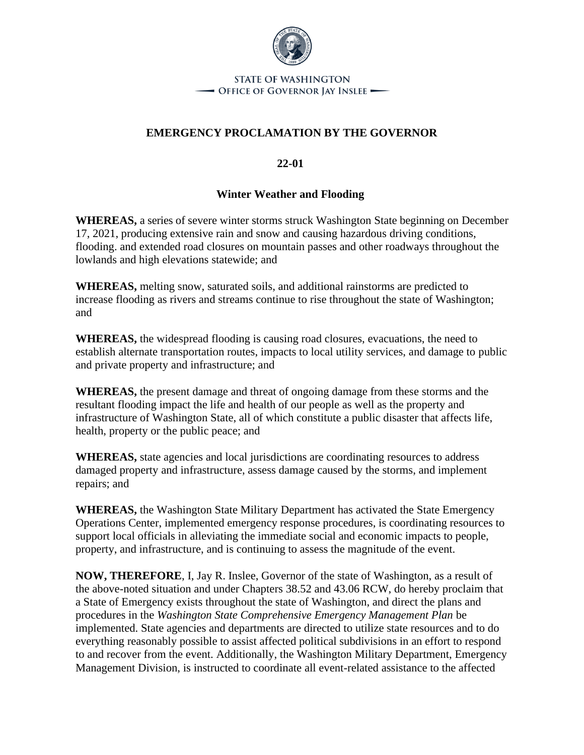

## **STATE OF WASHINGTON** - Office of Governor Jay Inslee -

## **EMERGENCY PROCLAMATION BY THE GOVERNOR**

**22-01**

## **Winter Weather and Flooding**

**WHEREAS,** a series of severe winter storms struck Washington State beginning on December 17, 2021, producing extensive rain and snow and causing hazardous driving conditions, flooding. and extended road closures on mountain passes and other roadways throughout the lowlands and high elevations statewide; and

**WHEREAS,** melting snow, saturated soils, and additional rainstorms are predicted to increase flooding as rivers and streams continue to rise throughout the state of Washington; and

**WHEREAS,** the widespread flooding is causing road closures, evacuations, the need to establish alternate transportation routes, impacts to local utility services, and damage to public and private property and infrastructure; and

**WHEREAS,** the present damage and threat of ongoing damage from these storms and the resultant flooding impact the life and health of our people as well as the property and infrastructure of Washington State, all of which constitute a public disaster that affects life, health, property or the public peace; and

**WHEREAS,** state agencies and local jurisdictions are coordinating resources to address damaged property and infrastructure, assess damage caused by the storms, and implement repairs; and

**WHEREAS,** the Washington State Military Department has activated the State Emergency Operations Center, implemented emergency response procedures, is coordinating resources to support local officials in alleviating the immediate social and economic impacts to people, property, and infrastructure, and is continuing to assess the magnitude of the event.

**NOW, THEREFORE**, I, Jay R. Inslee, Governor of the state of Washington, as a result of the above-noted situation and under Chapters 38.52 and 43.06 RCW, do hereby proclaim that a State of Emergency exists throughout the state of Washington, and direct the plans and procedures in the *Washington State Comprehensive Emergency Management Plan* be implemented. State agencies and departments are directed to utilize state resources and to do everything reasonably possible to assist affected political subdivisions in an effort to respond to and recover from the event. Additionally, the Washington Military Department, Emergency Management Division, is instructed to coordinate all event-related assistance to the affected